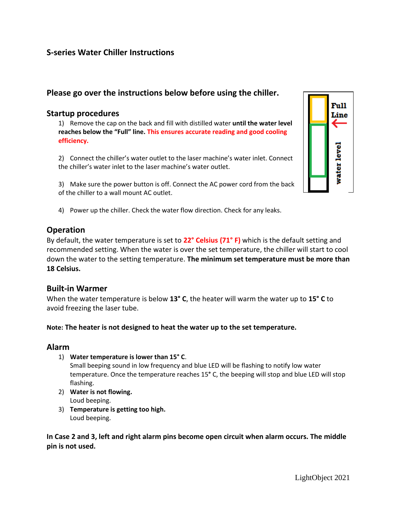# **S-series Water Chiller Instructions**

# **Please go over the instructions below before using the chiller.**

### **Startup procedures**

1) Remove the cap on the back and fill with distilled water **until the water level reaches below the "Full" line. This ensures accurate reading and good cooling efficiency.**

2) Connect the chiller's water outlet to the laser machine's water inlet. Connect the chiller's water inlet to the laser machine's water outlet.

3) Make sure the power button is off. Connect the AC power cord from the back of the chiller to a wall mount AC outlet.



4) Power up the chiller. Check the water flow direction. Check for any leaks.

## **Operation**

By default, the water temperature is set to **22° Celsius (71° F)** which is the default setting and recommended setting. When the water is over the set temperature, the chiller will start to cool down the water to the setting temperature. **The minimum set temperature must be more than 18 Celsius.**

## **Built-in Warmer**

When the water temperature is below **13° C**, the heater will warm the water up to **15° C** to avoid freezing the laser tube.

### **Note: The heater is not designed to heat the water up to the set temperature.**

### **Alarm**

1) **Water temperature is lower than 15° C**.

Small beeping sound in low frequency and blue LED will be flashing to notify low water temperature. Once the temperature reaches 15**°** C, the beeping will stop and blue LED will stop flashing.

- 2) **Water is not flowing.** Loud beeping.
- 3) **Temperature is getting too high.** Loud beeping.

**In Case 2 and 3, left and right alarm pins become open circuit when alarm occurs. The middle pin is not used.**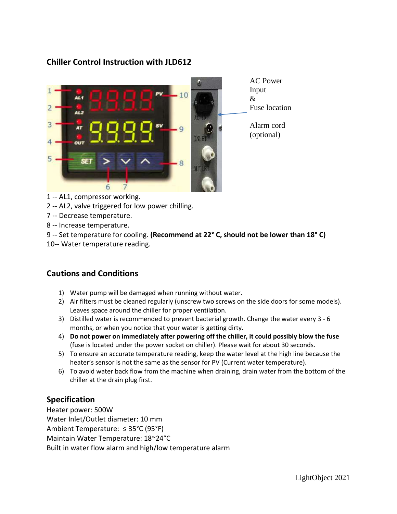# AC Power Input  $10$ & Fuse location 3 Alarm cord  $\overline{Q}$ (optional)  $\mathbf{R}$ 6

**Chiller Control Instruction with JLD612** 

- 1 -- AL1, compressor working.
- 2 -- AL2, valve triggered for low power chilling.
- 7 -- Decrease temperature.
- 8 -- Increase temperature.
- 9 -- Set temperature for cooling. **(Recommend at 22° C, should not be lower than 18° C)**
- 10-- Water temperature reading.

# **Cautions and Conditions**

- 1) Water pump will be damaged when running without water.
- 2) Air filters must be cleaned regularly (unscrew two screws on the side doors for some models). Leaves space around the chiller for proper ventilation.
- 3) Distilled water is recommended to prevent bacterial growth. Change the water every 3 6 months, or when you notice that your water is getting dirty.
- 4) **Do not power on immediately after powering off the chiller, it could possibly blow the fuse**  (fuse is located under the power socket on chiller). Please wait for about 30 seconds.
- 5) To ensure an accurate temperature reading, keep the water level at the high line because the heater's sensor is not the same as the sensor for PV (Current water temperature).
- 6) To avoid water back flow from the machine when draining, drain water from the bottom of the chiller at the drain plug first.

# **Specification**

Heater power: 500W Water Inlet/Outlet diameter: 10 mm Ambient Temperature: ≤ 35°C (95°F) Maintain Water Temperature: 18~24°C Built in water flow alarm and high/low temperature alarm